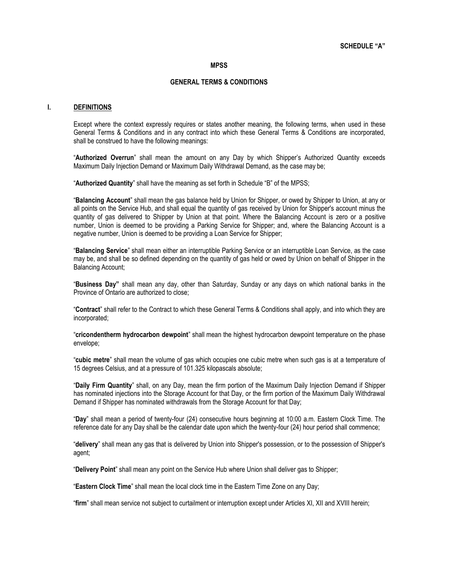#### **MPSS**

# **GENERAL TERMS & CONDITIONS**

#### **I. DEFINITIONS**

Except where the context expressly requires or states another meaning, the following terms, when used in these General Terms & Conditions and in any contract into which these General Terms & Conditions are incorporated, shall be construed to have the following meanings:

"**Authorized Overrun**" shall mean the amount on any Day by which Shipper's Authorized Quantity exceeds Maximum Daily Injection Demand or Maximum Daily Withdrawal Demand, as the case may be;

"**Authorized Quantity**" shall have the meaning as set forth in Schedule "B" of the MPSS;

"**Balancing Account**" shall mean the gas balance held by Union for Shipper, or owed by Shipper to Union, at any or all points on the Service Hub, and shall equal the quantity of gas received by Union for Shipper's account minus the quantity of gas delivered to Shipper by Union at that point. Where the Balancing Account is zero or a positive number, Union is deemed to be providing a Parking Service for Shipper; and, where the Balancing Account is a negative number, Union is deemed to be providing a Loan Service for Shipper;

"**Balancing Service**" shall mean either an interruptible Parking Service or an interruptible Loan Service, as the case may be, and shall be so defined depending on the quantity of gas held or owed by Union on behalf of Shipper in the Balancing Account;

"**Business Day"** shall mean any day, other than Saturday, Sunday or any days on which national banks in the Province of Ontario are authorized to close;

"**Contract**" shall refer to the Contract to which these General Terms & Conditions shall apply, and into which they are incorporated;

"**cricondentherm hydrocarbon dewpoint**" shall mean the highest hydrocarbon dewpoint temperature on the phase envelope;

"**cubic metre**" shall mean the volume of gas which occupies one cubic metre when such gas is at a temperature of 15 degrees Celsius, and at a pressure of 101.325 kilopascals absolute;

"**Daily Firm Quantity**" shall, on any Day, mean the firm portion of the Maximum Daily Injection Demand if Shipper has nominated injections into the Storage Account for that Day, or the firm portion of the Maximum Daily Withdrawal Demand if Shipper has nominated withdrawals from the Storage Account for that Day;

"**Day**" shall mean a period of twenty-four (24) consecutive hours beginning at 10:00 a.m. Eastern Clock Time. The reference date for any Day shall be the calendar date upon which the twenty-four (24) hour period shall commence;

"**delivery**" shall mean any gas that is delivered by Union into Shipper's possession, or to the possession of Shipper's agent;

"**Delivery Point**" shall mean any point on the Service Hub where Union shall deliver gas to Shipper;

"**Eastern Clock Time**" shall mean the local clock time in the Eastern Time Zone on any Day;

"**firm**" shall mean service not subject to curtailment or interruption except under Articles XI, XII and XVIII herein;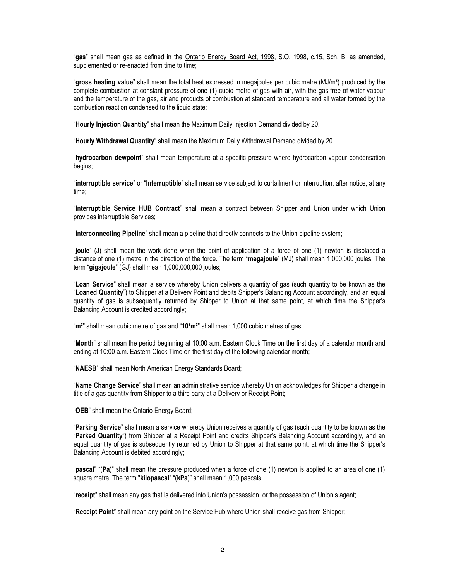"**gas**" shall mean gas as defined in the Ontario Energy Board Act, 1998, S.O. 1998, c.15, Sch. B, as amended, supplemented or re-enacted from time to time;

"gross heating value" shall mean the total heat expressed in megajoules per cubic metre (MJ/m<sup>3</sup>) produced by the complete combustion at constant pressure of one (1) cubic metre of gas with air, with the gas free of water vapour and the temperature of the gas, air and products of combustion at standard temperature and all water formed by the combustion reaction condensed to the liquid state;

"**Hourly Injection Quantity**" shall mean the Maximum Daily Injection Demand divided by 20.

"**Hourly Withdrawal Quantity**" shall mean the Maximum Daily Withdrawal Demand divided by 20.

"**hydrocarbon dewpoint**" shall mean temperature at a specific pressure where hydrocarbon vapour condensation begins;

"**interruptible service**" or "**Interruptible**" shall mean service subject to curtailment or interruption, after notice, at any time;

"**Interruptible Service HUB Contract**" shall mean a contract between Shipper and Union under which Union provides interruptible Services;

"**Interconnecting Pipeline**" shall mean a pipeline that directly connects to the Union pipeline system;

"**joule**" (J) shall mean the work done when the point of application of a force of one (1) newton is displaced a distance of one (1) metre in the direction of the force. The term "**megajoule**" (MJ) shall mean 1,000,000 joules. The term "**gigajoule**" (GJ) shall mean 1,000,000,000 joules;

"**Loan Service**" shall mean a service whereby Union delivers a quantity of gas (such quantity to be known as the "**Loaned Quantity**") to Shipper at a Delivery Point and debits Shipper's Balancing Account accordingly, and an equal quantity of gas is subsequently returned by Shipper to Union at that same point, at which time the Shipper's Balancing Account is credited accordingly;

"m<sup>3"</sup> shall mean cubic metre of gas and "10<sup>3</sup>m<sup>3"</sup> shall mean 1,000 cubic metres of gas;

"**Month**" shall mean the period beginning at 10:00 a.m. Eastern Clock Time on the first day of a calendar month and ending at 10:00 a.m. Eastern Clock Time on the first day of the following calendar month;

"**NAESB**" shall mean North American Energy Standards Board;

"**Name Change Service**" shall mean an administrative service whereby Union acknowledges for Shipper a change in title of a gas quantity from Shipper to a third party at a Delivery or Receipt Point;

"**OEB**" shall mean the Ontario Energy Board;

"**Parking Service**" shall mean a service whereby Union receives a quantity of gas (such quantity to be known as the "**Parked Quantity**") from Shipper at a Receipt Point and credits Shipper's Balancing Account accordingly, and an equal quantity of gas is subsequently returned by Union to Shipper at that same point, at which time the Shipper's Balancing Account is debited accordingly;

"**pascal**" "(**Pa**)" shall mean the pressure produced when a force of one (1) newton is applied to an area of one (1) square metre. The term "**kilopascal**" "(**kPa**)" shall mean 1,000 pascals;

"**receipt**" shall mean any gas that is delivered into Union's possession, or the possession of Union's agent;

"**Receipt Point**" shall mean any point on the Service Hub where Union shall receive gas from Shipper;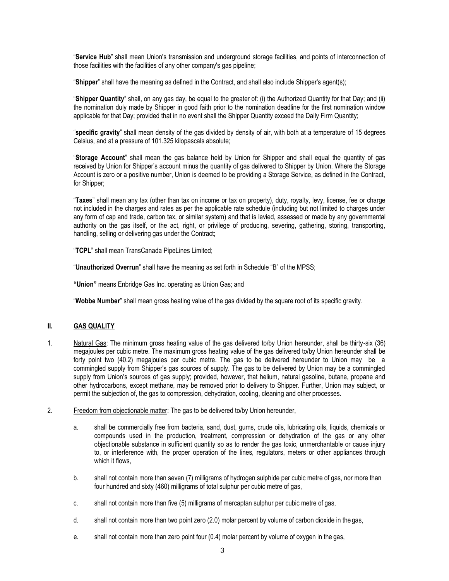"**Service Hub**" shall mean Union's transmission and underground storage facilities, and points of interconnection of those facilities with the facilities of any other company's gas pipeline;

"**Shipper**" shall have the meaning as defined in the Contract, and shall also include Shipper's agent(s);

"**Shipper Quantity**" shall, on any gas day, be equal to the greater of: (i) the Authorized Quantity for that Day; and (ii) the nomination duly made by Shipper in good faith prior to the nomination deadline for the first nomination window applicable for that Day; provided that in no event shall the Shipper Quantity exceed the Daily Firm Quantity;

"**specific gravity**" shall mean density of the gas divided by density of air, with both at a temperature of 15 degrees Celsius, and at a pressure of 101.325 kilopascals absolute;

"**Storage Account**" shall mean the gas balance held by Union for Shipper and shall equal the quantity of gas received by Union for Shipper's account minus the quantity of gas delivered to Shipper by Union. Where the Storage Account is zero or a positive number, Union is deemed to be providing a Storage Service, as defined in the Contract, for Shipper:

"**Taxes**" shall mean any tax (other than tax on income or tax on property), duty, royalty, levy, license, fee or charge not included in the charges and rates as per the applicable rate schedule (including but not limited to charges under any form of cap and trade, carbon tax, or similar system) and that is levied, assessed or made by any governmental authority on the gas itself, or the act, right, or privilege of producing, severing, gathering, storing, transporting, handling, selling or delivering gas under the Contract;

"**TCPL**" shall mean TransCanada PipeLines Limited;

"**Unauthorized Overrun**" shall have the meaning as set forth in Schedule "B" of the MPSS;

**"Union"** means Enbridge Gas Inc. operating as Union Gas; and

"**Wobbe Number**" shall mean gross heating value of the gas divided by the square root of its specific gravity.

# **II. GAS QUALITY**

- 1. Natural Gas: The minimum gross heating value of the gas delivered to/by Union hereunder, shall be thirty-six (36) megajoules per cubic metre. The maximum gross heating value of the gas delivered to/by Union hereunder shall be forty point two (40.2) megajoules per cubic metre. The gas to be delivered hereunder to Union may be a commingled supply from Shipper's gas sources of supply. The gas to be delivered by Union may be a commingled supply from Union's sources of gas supply; provided, however, that helium, natural gasoline, butane, propane and other hydrocarbons, except methane, may be removed prior to delivery to Shipper. Further, Union may subject, or permit the subjection of, the gas to compression, dehydration, cooling, cleaning and other processes.
- 2. Freedom from objectionable matter: The gas to be delivered to/by Union hereunder,
	- a. shall be commercially free from bacteria, sand, dust, gums, crude oils, lubricating oils, liquids, chemicals or compounds used in the production, treatment, compression or dehydration of the gas or any other objectionable substance in sufficient quantity so as to render the gas toxic, unmerchantable or cause injury to, or interference with, the proper operation of the lines, regulators, meters or other appliances through which it flows,
	- b. shall not contain more than seven (7) milligrams of hydrogen sulphide per cubic metre of gas, nor more than four hundred and sixty (460) milligrams of total sulphur per cubic metre of gas,
	- c. shall not contain more than five (5) milligrams of mercaptan sulphur per cubic metre of gas,
	- d. shall not contain more than two point zero (2.0) molar percent by volume of carbon dioxide in the gas,
	- e. shall not contain more than zero point four (0.4) molar percent by volume of oxygen in the gas,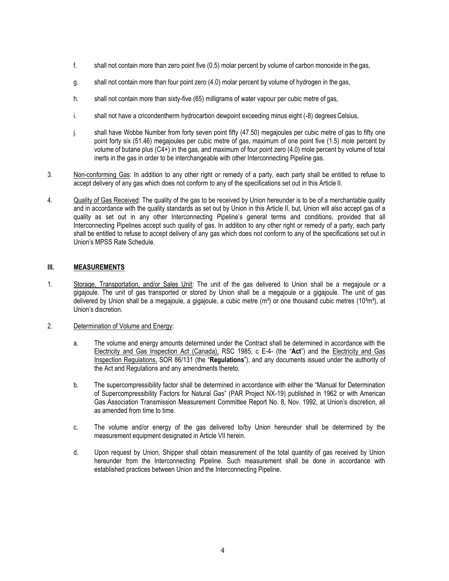- f. shall not contain more than zero point five (0.5) molar percent by volume of carbon monoxide in the gas,
- g. shall not contain more than four point zero (4.0) molar percent by volume of hydrogen in the gas,
- h. shall not contain more than sixty-five (65) milligrams of water vapour per cubic metre of gas,
- i. shall not have a cricondentherm hydrocarbon dewpoint exceeding minus eight (-8) degrees Celsius,
- j. shall have Wobbe Number from forty seven point fifty (47.50) megajoules per cubic metre of gas to fifty one point forty six (51.46) megajoules per cubic metre of gas, maximum of one point five (1.5) mole percent by volume of butane plus (C4+) in the gas, and maximum of four point zero (4.0) mole percent by volume of total inerts in the gas in order to be interchangeable with other Interconnecting Pipeline gas.
- 3. Non-conforming Gas: In addition to any other right or remedy of a party, each party shall be entitled to refuse to accept delivery of any gas which does not conform to any of the specifications set out in this Article II.
- 4. Quality of Gas Received: The quality of the gas to be received by Union hereunder is to be of a merchantable quality and in accordance with the quality standards as set out by Union in this Article II, but, Union will also accept gas of a quality as set out in any other Interconnecting Pipeline's general terms and conditions, provided that all Interconnecting Pipelines accept such quality of gas. In addition to any other right or remedy of a party, each party shall be entitled to refuse to accept delivery of any gas which does not conform to any of the specifications set out in Union's MPSS Rate Schedule.

# **III. MEASUREMENTS**

1. Storage, Transportation, and/or Sales Unit: The unit of the gas delivered to Union shall be a megajoule or a gigajoule. The unit of gas transported or stored by Union shall be a megajoule or a gigajoule. The unit of gas delivered by Union shall be a megajoule, a gigajoule, a cubic metre  $(m<sup>3</sup>)$  or one thousand cubic metres (10 $\frac{3}{2}$ m<sup>3</sup>), at Union's discretion.

### 2. Determination of Volume and Energy:

- a. The volume and energy amounts determined under the Contract shall be determined in accordance with the Electricity and Gas Inspection Act (Canada), RSC 1985, c E-4- (the "**Act**") and the Electricity and Gas Inspection Regulations, SOR 86/131 (the "**Regulations**"), and any documents issued under the authority of the Act and Regulations and any amendments thereto.
- b. The supercompressibility factor shall be determined in accordance with either the "Manual for Determination of Supercompressibility Factors for Natural Gas" (PAR Project NX-19) published in 1962 or with American Gas Association Transmission Measurement Committee Report No. 8, Nov. 1992, at Union's discretion, all as amended from time to time.
- c. The volume and/or energy of the gas delivered to/by Union hereunder shall be determined by the measurement equipment designated in Article VII herein.
- d. Upon request by Union, Shipper shall obtain measurement of the total quantity of gas received by Union hereunder from the Interconnecting Pipeline. Such measurement shall be done in accordance with established practices between Union and the Interconnecting Pipeline.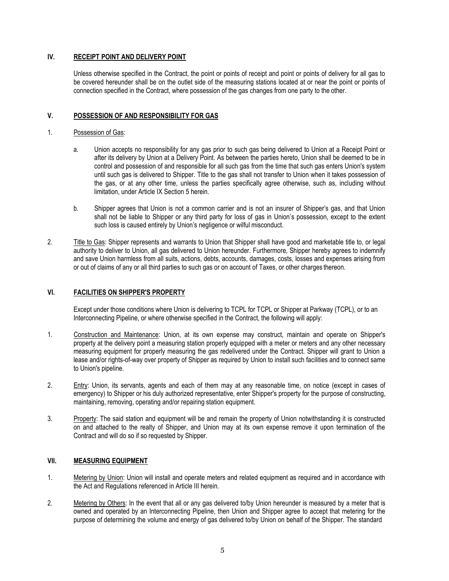# **IV. RECEIPT POINT AND DELIVERY POINT**

Unless otherwise specified in the Contract, the point or points of receipt and point or points of delivery for all gas to be covered hereunder shall be on the outlet side of the measuring stations located at or near the point or points of connection specified in the Contract, where possession of the gas changes from one party to the other.

# **V. POSSESSION OF AND RESPONSIBILITY FOR GAS**

### 1. Possession of Gas:

- a. Union accepts no responsibility for any gas prior to such gas being delivered to Union at a Receipt Point or after its delivery by Union at a Delivery Point. As between the parties hereto, Union shall be deemed to be in control and possession of and responsible for all such gas from the time that such gas enters Union's system until such gas is delivered to Shipper. Title to the gas shall not transfer to Union when it takes possession of the gas, or at any other time, unless the parties specifically agree otherwise, such as, including without limitation, under Article IX Section 5 herein.
- b. Shipper agrees that Union is not a common carrier and is not an insurer of Shipper's gas, and that Union shall not be liable to Shipper or any third party for loss of gas in Union's possession, except to the extent such loss is caused entirely by Union's negligence or wilful misconduct.
- 2. Title to Gas: Shipper represents and warrants to Union that Shipper shall have good and marketable title to, or legal authority to deliver to Union, all gas delivered to Union hereunder. Furthermore, Shipper hereby agrees to indemnify and save Union harmless from all suits, actions, debts, accounts, damages, costs, losses and expenses arising from or out of claims of any or all third parties to such gas or on account of Taxes, or other charges thereon.

# **VI. FACILITIES ON SHIPPER'S PROPERTY**

Except under those conditions where Union is delivering to TCPL for TCPL or Shipper at Parkway (TCPL), or to an Interconnecting Pipeline, or where otherwise specified in the Contract, the following will apply:

- 1. Construction and Maintenance: Union, at its own expense may construct, maintain and operate on Shipper's property at the delivery point a measuring station properly equipped with a meter or meters and any other necessary measuring equipment for properly measuring the gas redelivered under the Contract. Shipper will grant to Union a lease and/or rights-of-way over property of Shipper as required by Union to install such facilities and to connect same to Union's pipeline.
- 2. Entry: Union, its servants, agents and each of them may at any reasonable time, on notice (except in cases of emergency) to Shipper or his duly authorized representative, enter Shipper's property for the purpose of constructing, maintaining, removing, operating and/or repairing station equipment.
- 3. Property: The said station and equipment will be and remain the property of Union notwithstanding it is constructed on and attached to the realty of Shipper, and Union may at its own expense remove it upon termination of the Contract and will do so if so requested by Shipper.

### **VII. MEASURING EQUIPMENT**

- 1. Metering by Union: Union will install and operate meters and related equipment as required and in accordance with the Act and Regulations referenced in Article III herein.
- 2. Metering by Others: In the event that all or any gas delivered to/by Union hereunder is measured by a meter that is owned and operated by an Interconnecting Pipeline, then Union and Shipper agree to accept that metering for the purpose of determining the volume and energy of gas delivered to/by Union on behalf of the Shipper. The standard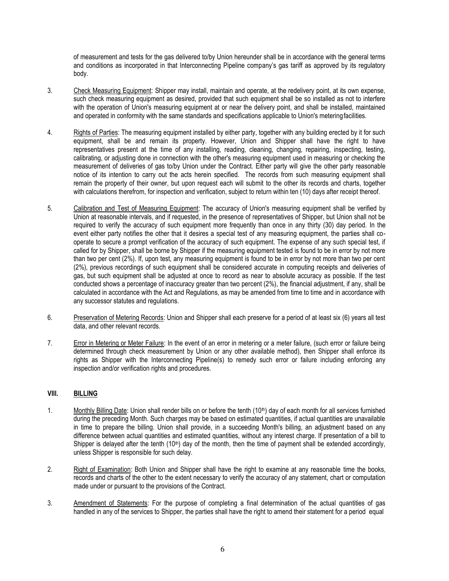of measurement and tests for the gas delivered to/by Union hereunder shall be in accordance with the general terms and conditions as incorporated in that Interconnecting Pipeline company's gas tariff as approved by its regulatory body.

- 3. Check Measuring Equipment: Shipper may install, maintain and operate, at the redelivery point, at its own expense, such check measuring equipment as desired, provided that such equipment shall be so installed as not to interfere with the operation of Union's measuring equipment at or near the delivery point, and shall be installed, maintained and operated in conformity with the same standards and specifications applicable to Union's meteringfacilities.
- 4. Rights of Parties: The measuring equipment installed by either party, together with any building erected by it for such equipment, shall be and remain its property. However, Union and Shipper shall have the right to have representatives present at the time of any installing, reading, cleaning, changing, repairing, inspecting, testing, calibrating, or adjusting done in connection with the other's measuring equipment used in measuring or checking the measurement of deliveries of gas to/by Union under the Contract. Either party will give the other party reasonable notice of its intention to carry out the acts herein specified. The records from such measuring equipment shall remain the property of their owner, but upon request each will submit to the other its records and charts, together with calculations therefrom, for inspection and verification, subject to return within ten (10) days after receipt thereof.
- 5. Calibration and Test of Measuring Equipment: The accuracy of Union's measuring equipment shall be verified by Union at reasonable intervals, and if requested, in the presence of representatives of Shipper, but Union shall not be required to verify the accuracy of such equipment more frequently than once in any thirty (30) day period. In the event either party notifies the other that it desires a special test of any measuring equipment, the parties shall cooperate to secure a prompt verification of the accuracy of such equipment. The expense of any such special test, if called for by Shipper, shall be borne by Shipper if the measuring equipment tested is found to be in error by not more than two per cent (2%). If, upon test, any measuring equipment is found to be in error by not more than two per cent (2%), previous recordings of such equipment shall be considered accurate in computing receipts and deliveries of gas, but such equipment shall be adjusted at once to record as near to absolute accuracy as possible. If the test conducted shows a percentage of inaccuracy greater than two percent (2%), the financial adjustment, if any, shall be calculated in accordance with the Act and Regulations, as may be amended from time to time and in accordance with any successor statutes and regulations.
- 6. Preservation of Metering Records: Union and Shipper shall each preserve for a period of at least six (6) years all test data, and other relevant records.
- 7. Error in Metering or Meter Failure: In the event of an error in metering or a meter failure, (such error or failure being determined through check measurement by Union or any other available method), then Shipper shall enforce its rights as Shipper with the Interconnecting Pipeline(s) to remedy such error or failure including enforcing any inspection and/or verification rights and procedures.

### **VIII. BILLING**

- 1. Monthly Billing Date: Union shall render bills on or before the tenth (10<sup>th</sup>) day of each month for all services furnished during the preceding Month. Such charges may be based on estimated quantities, if actual quantities are unavailable in time to prepare the billing. Union shall provide, in a succeeding Month's billing, an adjustment based on any difference between actual quantities and estimated quantities, without any interest charge. If presentation of a bill to Shipper is delayed after the tenth  $(10<sup>th</sup>)$  day of the month, then the time of payment shall be extended accordingly, unless Shipper is responsible for such delay.
- 2. Right of Examination: Both Union and Shipper shall have the right to examine at any reasonable time the books, records and charts of the other to the extent necessary to verify the accuracy of any statement, chart or computation made under or pursuant to the provisions of the Contract.
- 3. Amendment of Statements: For the purpose of completing a final determination of the actual quantities of gas handled in any of the services to Shipper, the parties shall have the right to amend their statement for a period equal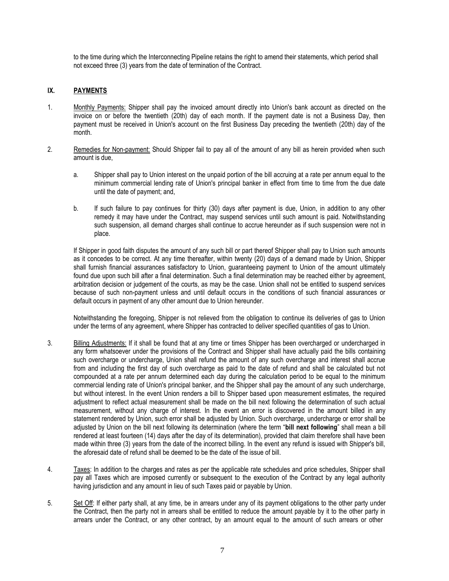to the time during which the Interconnecting Pipeline retains the right to amend their statements, which period shall not exceed three (3) years from the date of termination of the Contract.

# **IX. PAYMENTS**

- 1. Monthly Payments: Shipper shall pay the invoiced amount directly into Union's bank account as directed on the invoice on or before the twentieth (20th) day of each month. If the payment date is not a Business Day, then payment must be received in Union's account on the first Business Day preceding the twentieth (20th) day of the month.
- 2. Remedies for Non-payment: Should Shipper fail to pay all of the amount of any bill as herein provided when such amount is due,
	- a. Shipper shall pay to Union interest on the unpaid portion of the bill accruing at a rate per annum equal to the minimum commercial lending rate of Union's principal banker in effect from time to time from the due date until the date of payment; and,
	- b. If such failure to pay continues for thirty (30) days after payment is due, Union, in addition to any other remedy it may have under the Contract, may suspend services until such amount is paid. Notwithstanding such suspension, all demand charges shall continue to accrue hereunder as if such suspension were not in place.

If Shipper in good faith disputes the amount of any such bill or part thereof Shipper shall pay to Union such amounts as it concedes to be correct. At any time thereafter, within twenty (20) days of a demand made by Union, Shipper shall furnish financial assurances satisfactory to Union, guaranteeing payment to Union of the amount ultimately found due upon such bill after a final determination. Such a final determination may be reached either by agreement, arbitration decision or judgement of the courts, as may be the case. Union shall not be entitled to suspend services because of such non-payment unless and until default occurs in the conditions of such financial assurances or default occurs in payment of any other amount due to Union hereunder.

Notwithstanding the foregoing, Shipper is not relieved from the obligation to continue its deliveries of gas to Union under the terms of any agreement, where Shipper has contracted to deliver specified quantities of gas to Union.

- 3. Billing Adjustments: If it shall be found that at any time or times Shipper has been overcharged or undercharged in any form whatsoever under the provisions of the Contract and Shipper shall have actually paid the bills containing such overcharge or undercharge, Union shall refund the amount of any such overcharge and interest shall accrue from and including the first day of such overcharge as paid to the date of refund and shall be calculated but not compounded at a rate per annum determined each day during the calculation period to be equal to the minimum commercial lending rate of Union's principal banker, and the Shipper shall pay the amount of any such undercharge, but without interest. In the event Union renders a bill to Shipper based upon measurement estimates, the required adjustment to reflect actual measurement shall be made on the bill next following the determination of such actual measurement, without any charge of interest. In the event an error is discovered in the amount billed in any statement rendered by Union, such error shall be adjusted by Union. Such overcharge, undercharge or error shall be adjusted by Union on the bill next following its determination (where the term "**bill next following**" shall mean a bill rendered at least fourteen (14) days after the day of its determination), provided that claim therefore shall have been made within three (3) years from the date of the incorrect billing. In the event any refund is issued with Shipper's bill, the aforesaid date of refund shall be deemed to be the date of the issue of bill.
- 4. Taxes: In addition to the charges and rates as per the applicable rate schedules and price schedules, Shipper shall pay all Taxes which are imposed currently or subsequent to the execution of the Contract by any legal authority having jurisdiction and any amount in lieu of such Taxes paid or payable by Union.
- 5. Set Off: If either party shall, at any time, be in arrears under any of its payment obligations to the other party under the Contract, then the party not in arrears shall be entitled to reduce the amount payable by it to the other party in arrears under the Contract, or any other contract, by an amount equal to the amount of such arrears or other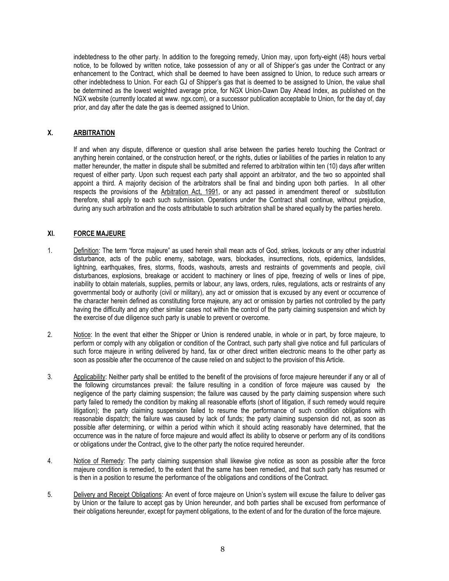indebtedness to the other party. In addition to the foregoing remedy, Union may, upon forty-eight (48) hours verbal notice, to be followed by written notice, take possession of any or all of Shipper's gas under the Contract or any enhancement to the Contract, which shall be deemed to have been assigned to Union, to reduce such arrears or other indebtedness to Union. For each GJ of Shipper's gas that is deemed to be assigned to Union, the value shall be determined as the lowest weighted average price, for NGX Union-Dawn Day Ahead Index, as published on the NGX website (currently located at [www. n](http://www/)gx.com), or a successor publication acceptable to Union, for the day of, day prior, and day after the date the gas is deemed assigned to Union.

# **X. ARBITRATION**

If and when any dispute, difference or question shall arise between the parties hereto touching the Contract or anything herein contained, or the construction hereof, or the rights, duties or liabilities of the parties in relation to any matter hereunder, the matter in dispute shall be submitted and referred to arbitration within ten (10) days after written request of either party. Upon such request each party shall appoint an arbitrator, and the two so appointed shall appoint a third. A majority decision of the arbitrators shall be final and binding upon both parties. In all other respects the provisions of the Arbitration Act, 1991, or any act passed in amendment thereof or substitution therefore, shall apply to each such submission. Operations under the Contract shall continue, without prejudice, during any such arbitration and the costs attributable to such arbitration shall be shared equally by the parties hereto.

# **XI. FORCE MAJEURE**

- 1. Definition: The term "force majeure" as used herein shall mean acts of God, strikes, lockouts or any other industrial disturbance, acts of the public enemy, sabotage, wars, blockades, insurrections, riots, epidemics, landslides, lightning, earthquakes, fires, storms, floods, washouts, arrests and restraints of governments and people, civil disturbances, explosions, breakage or accident to machinery or lines of pipe, freezing of wells or lines of pipe, inability to obtain materials, supplies, permits or labour, any laws, orders, rules, regulations, acts or restraints of any governmental body or authority (civil or military), any act or omission that is excused by any event or occurrence of the character herein defined as constituting force majeure, any act or omission by parties not controlled by the party having the difficulty and any other similar cases not within the control of the party claiming suspension and which by the exercise of due diligence such party is unable to prevent or overcome.
- 2. Notice: In the event that either the Shipper or Union is rendered unable, in whole or in part, by force majeure, to perform or comply with any obligation or condition of the Contract, such party shall give notice and full particulars of such force majeure in writing delivered by hand, fax or other direct written electronic means to the other party as soon as possible after the occurrence of the cause relied on and subject to the provision of this Article.
- 3. Applicability: Neither party shall be entitled to the benefit of the provisions of force majeure hereunder if any or all of the following circumstances prevail: the failure resulting in a condition of force majeure was caused by the negligence of the party claiming suspension; the failure was caused by the party claiming suspension where such party failed to remedy the condition by making all reasonable efforts (short of litigation, if such remedy would require litigation); the party claiming suspension failed to resume the performance of such condition obligations with reasonable dispatch; the failure was caused by lack of funds; the party claiming suspension did not, as soon as possible after determining, or within a period within which it should acting reasonably have determined, that the occurrence was in the nature of force majeure and would affect its ability to observe or perform any of its conditions or obligations under the Contract, give to the other party the notice required hereunder.
- 4. Notice of Remedy: The party claiming suspension shall likewise give notice as soon as possible after the force majeure condition is remedied, to the extent that the same has been remedied, and that such party has resumed or is then in a position to resume the performance of the obligations and conditions of the Contract.
- 5. Delivery and Receipt Obligations: An event of force majeure on Union's system will excuse the failure to deliver gas by Union or the failure to accept gas by Union hereunder, and both parties shall be excused from performance of their obligations hereunder, except for payment obligations, to the extent of and for the duration of the force majeure.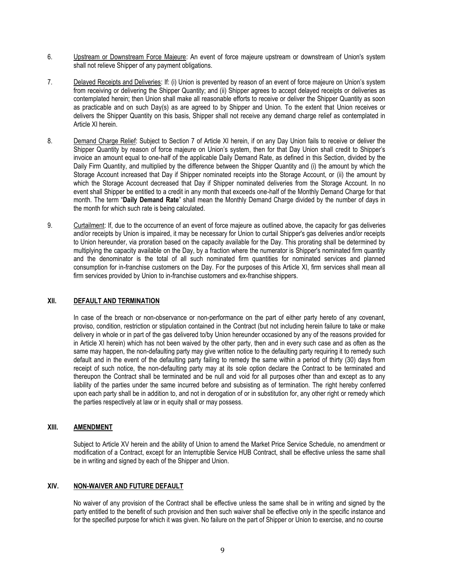- 6. Upstream or Downstream Force Majeure: An event of force majeure upstream or downstream of Union's system shall not relieve Shipper of any payment obligations.
- 7. Delayed Receipts and Deliveries: If: (i) Union is prevented by reason of an event of force majeure on Union's system from receiving or delivering the Shipper Quantity; and (ii) Shipper agrees to accept delayed receipts or deliveries as contemplated herein; then Union shall make all reasonable efforts to receive or deliver the Shipper Quantity as soon as practicable and on such Day(s) as are agreed to by Shipper and Union. To the extent that Union receives or delivers the Shipper Quantity on this basis, Shipper shall not receive any demand charge relief as contemplated in Article XI herein.
- 8. Demand Charge Relief: Subject to Section 7 of Article XI herein, if on any Day Union fails to receive or deliver the Shipper Quantity by reason of force majeure on Union's system, then for that Day Union shall credit to Shipper's invoice an amount equal to one-half of the applicable Daily Demand Rate, as defined in this Section, divided by the Daily Firm Quantity, and multiplied by the difference between the Shipper Quantity and (i) the amount by which the Storage Account increased that Day if Shipper nominated receipts into the Storage Account, or (ii) the amount by which the Storage Account decreased that Day if Shipper nominated deliveries from the Storage Account. In no event shall Shipper be entitled to a credit in any month that exceeds one-half of the Monthly Demand Charge for that month. The term "**Daily Demand Rate**" shall mean the Monthly Demand Charge divided by the number of days in the month for which such rate is being calculated.
- 9. Curtailment: If, due to the occurrence of an event of force majeure as outlined above, the capacity for gas deliveries and/or receipts by Union is impaired, it may be necessary for Union to curtail Shipper's gas deliveries and/or receipts to Union hereunder, via proration based on the capacity available for the Day. This prorating shall be determined by multiplying the capacity available on the Day, by a fraction where the numerator is Shipper's nominated firm quantity and the denominator is the total of all such nominated firm quantities for nominated services and planned consumption for in-franchise customers on the Day. For the purposes of this Article XI, firm services shall mean all firm services provided by Union to in-franchise customers and ex-franchise shippers.

### **XII. DEFAULT AND TERMINATION**

In case of the breach or non-observance or non-performance on the part of either party hereto of any covenant, proviso, condition, restriction or stipulation contained in the Contract (but not including herein failure to take or make delivery in whole or in part of the gas delivered to/by Union hereunder occasioned by any of the reasons provided for in Article XI herein) which has not been waived by the other party, then and in every such case and as often as the same may happen, the non-defaulting party may give written notice to the defaulting party requiring it to remedy such default and in the event of the defaulting party failing to remedy the same within a period of thirty (30) days from receipt of such notice, the non-defaulting party may at its sole option declare the Contract to be terminated and thereupon the Contract shall be terminated and be null and void for all purposes other than and except as to any liability of the parties under the same incurred before and subsisting as of termination. The right hereby conferred upon each party shall be in addition to, and not in derogation of or in substitution for, any other right or remedy which the parties respectively at law or in equity shall or may possess.

### **XIII. AMENDMENT**

Subject to Article XV herein and the ability of Union to amend the Market Price Service Schedule, no amendment or modification of a Contract, except for an Interruptible Service HUB Contract, shall be effective unless the same shall be in writing and signed by each of the Shipper and Union.

### **XIV. NON-WAIVER AND FUTURE DEFAULT**

No waiver of any provision of the Contract shall be effective unless the same shall be in writing and signed by the party entitled to the benefit of such provision and then such waiver shall be effective only in the specific instance and for the specified purpose for which it was given. No failure on the part of Shipper or Union to exercise, and no course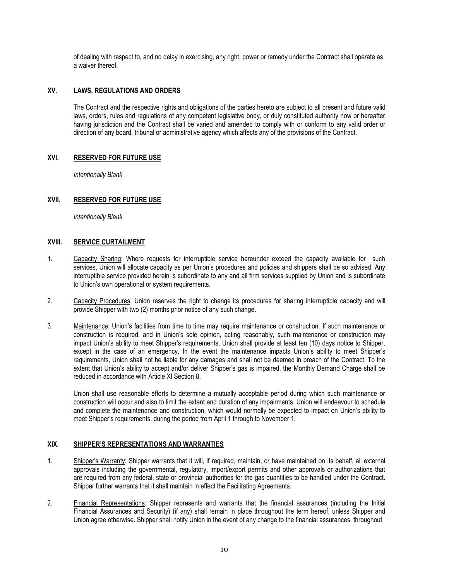of dealing with respect to, and no delay in exercising, any right, power or remedy under the Contract shall operate as a waiver thereof.

# **XV. LAWS, REGULATIONS AND ORDERS**

The Contract and the respective rights and obligations of the parties hereto are subject to all present and future valid laws, orders, rules and regulations of any competent legislative body, or duly constituted authority now or hereafter having jurisdiction and the Contract shall be varied and amended to comply with or conform to any valid order or direction of any board, tribunal or administrative agency which affects any of the provisions of the Contract.

### **XVI. RESERVED FOR FUTURE USE**

*Intentionally Blank*

# **XVII. RESERVED FOR FUTURE USE**

*Intentionally Blank*

# **XVIII. SERVICE CURTAILMENT**

- 1. Capacity Sharing: Where requests for interruptible service hereunder exceed the capacity available for such services, Union will allocate capacity as per Union's procedures and policies and shippers shall be so advised. Any interruptible service provided herein is subordinate to any and all firm services supplied by Union and is subordinate to Union's own operational or system requirements.
- 2. Capacity Procedures: Union reserves the right to change its procedures for sharing interruptible capacity and will provide Shipper with two (2) months prior notice of any such change.
- 3. Maintenance: Union's facilities from time to time may require maintenance or construction. If such maintenance or construction is required, and in Union's sole opinion, acting reasonably, such maintenance or construction may impact Union's ability to meet Shipper's requirements, Union shall provide at least ten (10) days notice to Shipper, except in the case of an emergency. In the event the maintenance impacts Union's ability to meet Shipper's requirements, Union shall not be liable for any damages and shall not be deemed in breach of the Contract. To the extent that Union's ability to accept and/or deliver Shipper's gas is impaired, the Monthly Demand Charge shall be reduced in accordance with Article XI Section 8.

Union shall use reasonable efforts to determine a mutually acceptable period during which such maintenance or construction will occur and also to limit the extent and duration of any impairments. Union will endeavour to schedule and complete the maintenance and construction, which would normally be expected to impact on Union's ability to meet Shipper's requirements, during the period from April 1 through to November 1.

### **XIX. SHIPPER'S REPRESENTATIONS AND WARRANTIES**

- 1. Shipper's Warranty: Shipper warrants that it will, if required, maintain, or have maintained on its behalf, all external approvals including the governmental, regulatory, import/export permits and other approvals or authorizations that are required from any federal, state or provincial authorities for the gas quantities to be handled under the Contract. Shipper further warrants that it shall maintain in effect the Facilitating Agreements.
- 2. Financial Representations: Shipper represents and warrants that the financial assurances (including the Initial Financial Assurances and Security) (if any) shall remain in place throughout the term hereof, unless Shipper and Union agree otherwise. Shipper shall notify Union in the event of any change to the financial assurances throughout